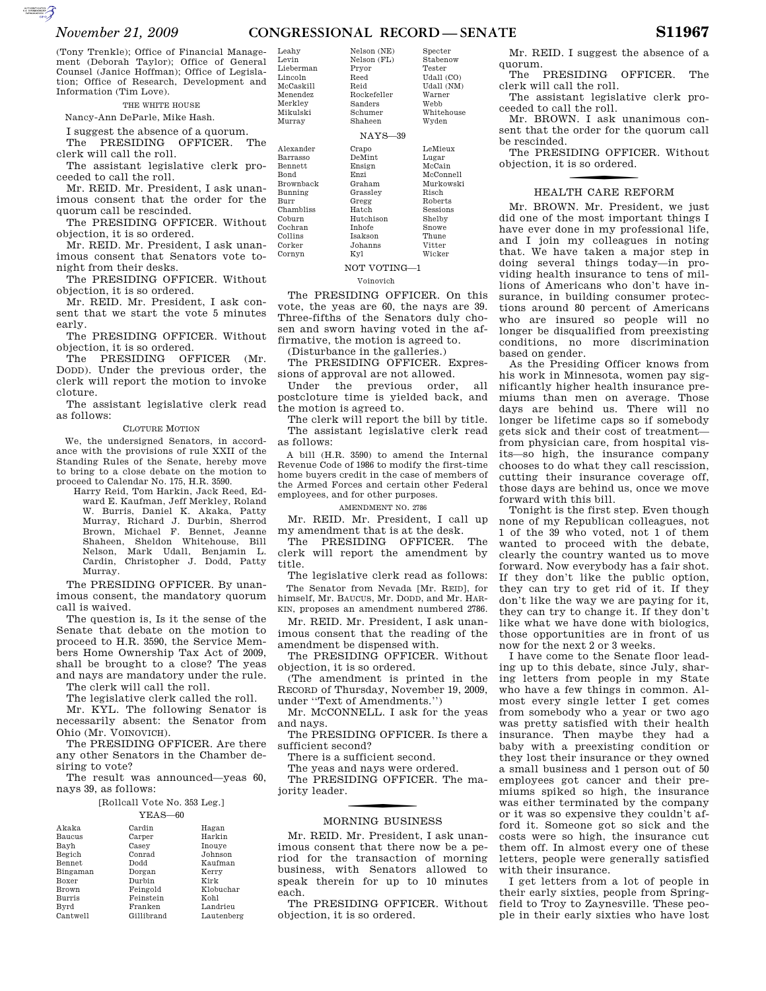### *November 21, 2009* **CONGRESSIONAL RECORD — SENATE S11967**

Nelson (NE)

(Tony Trenkle); Office of Financial Management (Deborah Taylor); Office of General Counsel (Janice Hoffman); Office of Legislation; Office of Research, Development and Information (Tim Love).

#### THE WHITE HOUSE

Nancy-Ann DeParle, Mike Hash.

I suggest the absence of a quorum.

The PRESIDING OFFICER. The clerk will call the roll.

The assistant legislative clerk proceeded to call the roll.

Mr. REID. Mr. President, I ask unanimous consent that the order for the quorum call be rescinded.

The PRESIDING OFFICER. Without objection, it is so ordered.

Mr. REID. Mr. President, I ask unanimous consent that Senators vote tonight from their desks.

The PRESIDING OFFICER. Without objection, it is so ordered.

Mr. REID. Mr. President, I ask consent that we start the vote 5 minutes early.

The PRESIDING OFFICER. Without objection, it is so ordered.

The PRESIDING OFFICER (Mr. DODD). Under the previous order, the clerk will report the motion to invoke cloture.

The assistant legislative clerk read as follows:

#### CLOTURE MOTION

We, the undersigned Senators, in accordance with the provisions of rule XXII of the Standing Rules of the Senate, hereby move to bring to a close debate on the motion to proceed to Calendar No. 175, H.R. 3590.

Harry Reid, Tom Harkin, Jack Reed, Edward E. Kaufman, Jeff Merkley, Roland W. Burris, Daniel K. Akaka, Patty Murray, Richard J. Durbin, Sherrod Brown, Michael F. Bennet, Jeanne Shaheen, Sheldon Whitehouse, Bill Nelson, Mark Udall, Benjamin L. Cardin, Christopher J. Dodd, Patty Murray.

The PRESIDING OFFICER. By unanimous consent, the mandatory quorum call is waived.

The question is, Is it the sense of the Senate that debate on the motion to proceed to H.R. 3590, the Service Members Home Ownership Tax Act of 2009, shall be brought to a close? The yeas and nays are mandatory under the rule.

The clerk will call the roll.

The legislative clerk called the roll. Mr. KYL. The following Senator is necessarily absent: the Senator from Ohio (Mr. VOINOVICH).

The PRESIDING OFFICER. Are there any other Senators in the Chamber desiring to vote?

The result was announced—yeas 60, nays 39, as follows:

#### [Rollcall Vote No. 353 Leg.] YEAS—60

| Akaka         | Cardin     | Hagan      |
|---------------|------------|------------|
| Baucus        | Carper     | Harkin     |
| Bavh          | Casev      | Inouve     |
| Begich        | Conrad     | Johnson    |
| <b>Bennet</b> | Dodd       | Kaufman    |
| Bingaman      | Dorgan     | Kerry      |
| Boxer         | Durbin     | Kirk       |
| Brown         | Feingold   | Klobuchar  |
| <b>Burris</b> | Feinstein  | Kohl       |
| Byrd          | Franken    | Landrieu   |
| Cantwell      | Gillibrand | Lautenberg |
|               |            |            |

Levin Lieberman Lincoln McCaskill Menendez Merkley Mikulski Murray Nelson (FL) Pryor Reed Reid Rockefeller Sanders Schumer Shaheen NAYS—39 Alexander Barrasso Bennett Bond Brownback Bunning Burr Chambliss Crapo DeMint Ensign Enzi Graham Grassley Gregg Hatch

Leahy

Coburn Cochran Collins Corker Cornyn

Stabenow Tester Udall (CO) Udall (NM) Warner Webb Whitehouse Wyden LeMieux

Specter

Hutchison Inhofe Isakson Johanns Kyl Lugar McCain McConnell Murkowski Risch Roberts Sessions Shelby Snowe Thune Vitter Wicker

## NOT VOTING—1

Voinovich

The PRESIDING OFFICER. On this vote, the yeas are 60, the nays are 39. Three-fifths of the Senators duly chosen and sworn having voted in the affirmative, the motion is agreed to.

(Disturbance in the galleries.)

The PRESIDING OFFICER. Expressions of approval are not allowed.

Under the previous order, all postcloture time is yielded back, and the motion is agreed to.

The clerk will report the bill by title. The assistant legislative clerk read as follows:

A bill (H.R. 3590) to amend the Internal Revenue Code of 1986 to modify the first-time home buyers credit in the case of members of the Armed Forces and certain other Federal employees, and for other purposes.

AMENDMENT NO. 2786

Mr. REID. Mr. President, I call up

my amendment that is at the desk.<br>The PRESIDING OFFICER The The PRESIDING OFFICER. clerk will report the amendment by title.

The legislative clerk read as follows: The Senator from Nevada [Mr. REID], for himself, Mr. BAUCUS, Mr. DODD, and Mr. HAR-KIN, proposes an amendment numbered 2786.

Mr. REID. Mr. President, I ask unanimous consent that the reading of the amendment be dispensed with.

The PRESIDING OFFICER. Without objection, it is so ordered.

(The amendment is printed in the RECORD of Thursday, November 19, 2009, under ''Text of Amendments.'')

Mr. MCCONNELL. I ask for the yeas and nays.

The PRESIDING OFFICER. Is there a sufficient second?

There is a sufficient second.

The yeas and nays were ordered. The PRESIDING OFFICER. The ma-

jority leader.

#### MORNING BUSINESS

Mr. REID. Mr. President, I ask unanimous consent that there now be a period for the transaction of morning business, with Senators allowed to speak therein for up to 10 minutes each.

The PRESIDING OFFICER. Without objection, it is so ordered.

Mr. REID. I suggest the absence of a quorum.

The PRESIDING OFFICER. The clerk will call the roll.

The assistant legislative clerk proceeded to call the roll.

Mr. BROWN. I ask unanimous consent that the order for the quorum call be rescinded.

The PRESIDING OFFICER. Without objection, it is so ordered.

# f HEALTH CARE REFORM

Mr. BROWN. Mr. President, we just did one of the most important things I have ever done in my professional life, and I join my colleagues in noting that. We have taken a major step in doing several things today—in providing health insurance to tens of millions of Americans who don't have insurance, in building consumer protections around 80 percent of Americans who are insured so people will no longer be disqualified from preexisting conditions, no more discrimination based on gender.

As the Presiding Officer knows from his work in Minnesota, women pay significantly higher health insurance premiums than men on average. Those days are behind us. There will no longer be lifetime caps so if somebody gets sick and their cost of treatment from physician care, from hospital visits—so high, the insurance company chooses to do what they call rescission, cutting their insurance coverage off, those days are behind us, once we move forward with this bill.

Tonight is the first step. Even though none of my Republican colleagues, not 1 of the 39 who voted, not 1 of them wanted to proceed with the debate, clearly the country wanted us to move forward. Now everybody has a fair shot. If they don't like the public option, they can try to get rid of it. If they don't like the way we are paying for it, they can try to change it. If they don't like what we have done with biologics, those opportunities are in front of us now for the next 2 or 3 weeks.

I have come to the Senate floor leading up to this debate, since July, sharing letters from people in my State who have a few things in common. Almost every single letter I get comes from somebody who a year or two ago was pretty satisfied with their health insurance. Then maybe they had a baby with a preexisting condition or they lost their insurance or they owned a small business and 1 person out of 50 employees got cancer and their premiums spiked so high, the insurance was either terminated by the company or it was so expensive they couldn't afford it. Someone got so sick and the costs were so high, the insurance cut them off. In almost every one of these letters, people were generally satisfied with their insurance.

I get letters from a lot of people in their early sixties, people from Springfield to Troy to Zaynesville. These people in their early sixties who have lost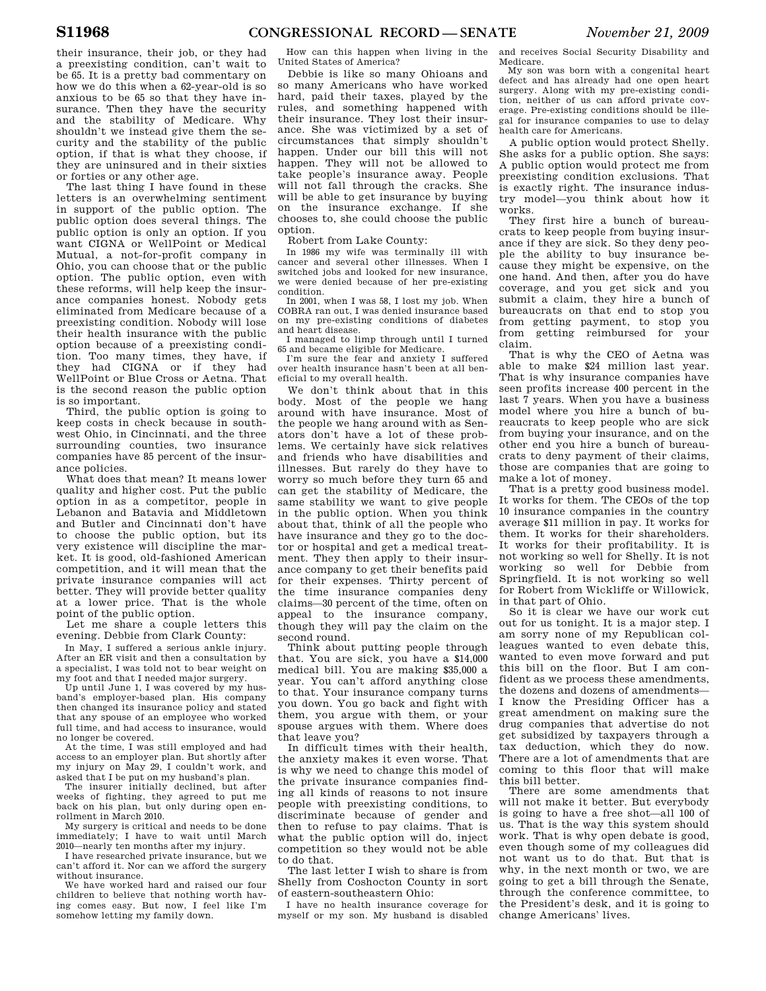their insurance, their job, or they had a preexisting condition, can't wait to be 65. It is a pretty bad commentary on how we do this when a 62-year-old is so anxious to be 65 so that they have insurance. Then they have the security and the stability of Medicare. Why shouldn't we instead give them the security and the stability of the public option, if that is what they choose, if they are uninsured and in their sixties or forties or any other age.

The last thing I have found in these letters is an overwhelming sentiment in support of the public option. The public option does several things. The public option is only an option. If you want CIGNA or WellPoint or Medical Mutual, a not-for-profit company in Ohio, you can choose that or the public option. The public option, even with these reforms, will help keep the insurance companies honest. Nobody gets eliminated from Medicare because of a preexisting condition. Nobody will lose their health insurance with the public option because of a preexisting condition. Too many times, they have, if they had CIGNA or if they had WellPoint or Blue Cross or Aetna. That is the second reason the public option is so important.

Third, the public option is going to keep costs in check because in southwest Ohio, in Cincinnati, and the three surrounding counties, two insurance companies have 85 percent of the insurance policies.

What does that mean? It means lower quality and higher cost. Put the public option in as a competitor, people in Lebanon and Batavia and Middletown and Butler and Cincinnati don't have to choose the public option, but its very existence will discipline the market. It is good, old-fashioned American competition, and it will mean that the private insurance companies will act better. They will provide better quality at a lower price. That is the whole point of the public option.

Let me share a couple letters this evening. Debbie from Clark County:

In May, I suffered a serious ankle injury. After an ER visit and then a consultation by a specialist, I was told not to bear weight on my foot and that I needed major surgery.

Up until June 1, I was covered by my husband's employer-based plan. His company then changed its insurance policy and stated that any spouse of an employee who worked full time, and had access to insurance, would no longer be covered.

At the time, I was still employed and had access to an employer plan. But shortly after my injury on May 29, I couldn't work, and asked that I be put on my husband's plan.

The insurer initially declined, but after weeks of fighting, they agreed to put me back on his plan, but only during open enrollment in March 2010.

My surgery is critical and needs to be done immediately; I have to wait until March 2010—nearly ten months after my injury.

I have researched private insurance, but we can't afford it. Nor can we afford the surgery without insurance.

We have worked hard and raised our four children to believe that nothing worth having comes easy. But now, I feel like I'm somehow letting my family down.

How can this happen when living in the United States of America?

Debbie is like so many Ohioans and so many Americans who have worked hard, paid their taxes, played by the rules, and something happened with their insurance. They lost their insurance. She was victimized by a set of circumstances that simply shouldn't happen. Under our bill this will not happen. They will not be allowed to take people's insurance away. People will not fall through the cracks. She will be able to get insurance by buying on the insurance exchange. If she chooses to, she could choose the public option.

Robert from Lake County:

In 1986 my wife was terminally ill with cancer and several other illnesses. When I switched jobs and looked for new insurance, we were denied because of her pre-existing condition.

In 2001, when I was 58, I lost my job. When COBRA ran out, I was denied insurance based on my pre-existing conditions of diabetes and heart disease.

I managed to limp through until I turned 65 and became eligible for Medicare. I'm sure the fear and anxiety I suffered

over health insurance hasn't been at all beneficial to my overall health.

We don't think about that in this body. Most of the people we hang around with have insurance. Most of the people we hang around with as Senators don't have a lot of these problems. We certainly have sick relatives and friends who have disabilities and illnesses. But rarely do they have to worry so much before they turn 65 and can get the stability of Medicare, the same stability we want to give people in the public option. When you think about that, think of all the people who have insurance and they go to the doctor or hospital and get a medical treatment. They then apply to their insurance company to get their benefits paid for their expenses. Thirty percent of the time insurance companies deny claims—30 percent of the time, often on appeal to the insurance company, though they will pay the claim on the second round.

Think about putting people through that. You are sick, you have a \$14,000 medical bill. You are making \$35,000 a year. You can't afford anything close to that. Your insurance company turns you down. You go back and fight with them, you argue with them, or your spouse argues with them. Where does that leave you?

In difficult times with their health, the anxiety makes it even worse. That is why we need to change this model of the private insurance companies finding all kinds of reasons to not insure people with preexisting conditions, to discriminate because of gender and then to refuse to pay claims. That is what the public option will do, inject competition so they would not be able to do that.

The last letter I wish to share is from Shelly from Coshocton County in sort of eastern-southeastern Ohio:

I have no health insurance coverage for myself or my son. My husband is disabled and receives Social Security Disability and Medicare.

My son was born with a congenital heart defect and has already had one open heart surgery. Along with my pre-existing condition, neither of us can afford private coverage. Pre-existing conditions should be illegal for insurance companies to use to delay health care for Americans.

A public option would protect Shelly. She asks for a public option. She says: A public option would protect me from preexisting condition exclusions. That is exactly right. The insurance industry model—you think about how it works.

They first hire a bunch of bureaucrats to keep people from buying insurance if they are sick. So they deny people the ability to buy insurance because they might be expensive, on the one hand. And then, after you do have coverage, and you get sick and you submit a claim, they hire a bunch of bureaucrats on that end to stop you from getting payment, to stop you from getting reimbursed for your claim.

That is why the CEO of Aetna was able to make \$24 million last year. That is why insurance companies have seen profits increase 400 percent in the last 7 years. When you have a business model where you hire a bunch of bureaucrats to keep people who are sick from buying your insurance, and on the other end you hire a bunch of bureaucrats to deny payment of their claims, those are companies that are going to make a lot of money.

That is a pretty good business model. It works for them. The CEOs of the top 10 insurance companies in the country average \$11 million in pay. It works for them. It works for their shareholders. It works for their profitability. It is not working so well for Shelly. It is not working so well for Debbie from Springfield. It is not working so well for Robert from Wickliffe or Willowick, in that part of Ohio.

So it is clear we have our work cut out for us tonight. It is a major step. I am sorry none of my Republican colleagues wanted to even debate this, wanted to even move forward and put this bill on the floor. But I am confident as we process these amendments, the dozens and dozens of amendments— I know the Presiding Officer has a great amendment on making sure the drug companies that advertise do not get subsidized by taxpayers through a tax deduction, which they do now. There are a lot of amendments that are coming to this floor that will make this bill better.

There are some amendments that will not make it better. But everybody is going to have a free shot—all 100 of us. That is the way this system should work. That is why open debate is good, even though some of my colleagues did not want us to do that. But that is why, in the next month or two, we are going to get a bill through the Senate, through the conference committee, to the President's desk, and it is going to change Americans' lives.